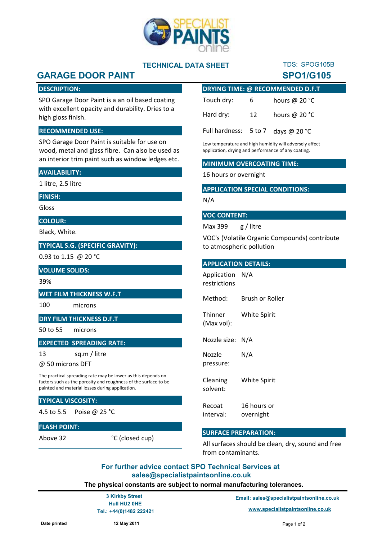

## **TECHNICAL DATA SHEET**

# **GARAGE DOOR PAINT SPO1/G105**

## **DESCRIPTION:**

SPO Garage Door Paint is a an oil based coating with excellent opacity and durability. Dries to a high gloss finish.

## **RECOMMENDED USE:**

SPO Garage Door Paint is suitable for use on wood, metal and glass fibre. Can also be used as an interior trim paint such as window ledges etc.

## **AVAILABILITY:**

1 litre, 2.5 litre

#### **FINISH:**

Gloss

**COLOUR:**

Black, White.

## **TYPICAL S.G. (SPECIFIC GRAVITY):**

0.93 to 1.15 @ 20 °C

#### **VOLUME SOLIDS:**

39%

#### **WET FILM THICKNESS W.F.T**

100 microns

## **DRY FILM THICKNESS D.F.T**

50 to 55 microns

## **EXPECTED SPREADING RATE:**

13 sq.m / litre

@ 50 microns DFT

The practical spreading rate may be lower as this depends on factors such as the porosity and roughness of the surface to be painted and material losses during application.

## **TYPICAL VISCOSITY:**

4.5 to 5.5 Poise @ 25 °C

## **FLASH POINT:**

Above 32

| <b>DRYING TIME: @ RECOMMENDED D.F.T</b>       |    |                         |
|-----------------------------------------------|----|-------------------------|
| Touch dry:                                    | 6. | hours @ 20 $^{\circ}$ C |
| Hard dry:                                     | 12 | hours @ $20 °C$         |
| Full hardness: $5 \text{ to } 7$ days @ 20 °C |    |                         |

TDS: SPOG105B

Low temperature and high humidity will adversely affect application, drying and performance of any coating.

#### **MINIMUM OVERCOATING TIME:**

16 hours or overnight

## **APPLICATION SPECIAL CONDITIONS:**

#### N/A

## **VOC CONTENT:**

Max 399 g / litre

VOC's (Volatile Organic Compounds) contribute to atmospheric pollution

### **APPLICATION DETAILS:**

Method: Brush or Roller Application N/A restrictions

**Thinner** (Max vol): White Spirit

Nozzle size: N/A

Nozzle pressure: N/A

Cleaning solvent: White Spirit

Recoat interval: 16 hours or overnight

## **SURFACE PREPARATION:**

All surfaces should be clean, dry, sound and free from contaminants.

## **For further advice contact SPO Technical Services at sales@specialistpaintsonline.co.uk**

**The physical constants are subject to normal manufacturing tolerances.**

 **Hull HU2 0HE**

°C (closed cup)

**Email: sales@specialistpaintsonline.co.uk 3 Kirkby Street**

 **Tel.: +44(0)1482 222421 www.specialistpaintsonline.co.uk**